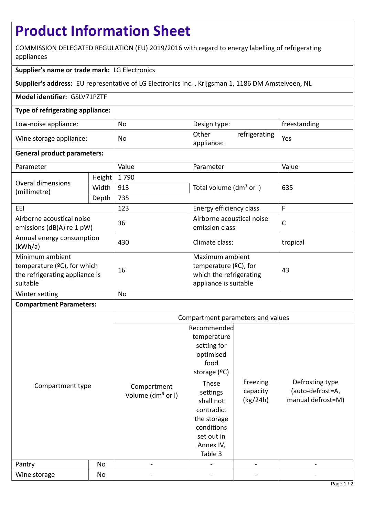# **Product Information Sheet**

COMMISSION DELEGATED REGULATION (EU) 2019/2016 with regard to energy labelling of refrigerating appliances

# **Supplier's name or trade mark:** LG Electronics

**Supplier's address:** EU representative of LG Electronics Inc. , Krijgsman 1, 1186 DM Amstelveen, NL

## **Model identifier:** GSLV71PZTF

## **Type of refrigerating appliance:**

| Low-noise appliance:    | No | Design type:        |               | freestanding |
|-------------------------|----|---------------------|---------------|--------------|
| Wine storage appliance: | No | Other<br>appliance: | refrigerating | Yes          |

#### **General product parameters:**

| Parameter                                                                                        |        | Value                          | Parameter                                                                                       | Value        |  |
|--------------------------------------------------------------------------------------------------|--------|--------------------------------|-------------------------------------------------------------------------------------------------|--------------|--|
| Overal dimensions<br>(millimetre)                                                                | Height | 1790                           |                                                                                                 | 635          |  |
|                                                                                                  | Width  | 913                            | Total volume (dm <sup>3</sup> or I)                                                             |              |  |
|                                                                                                  | Depth  | 735                            |                                                                                                 |              |  |
| EEI                                                                                              |        | 123<br>Energy efficiency class |                                                                                                 | F            |  |
| Airborne acoustical noise<br>emissions ( $dB(A)$ re 1 pW)                                        |        | 36                             | Airborne acoustical noise<br>emission class                                                     | $\mathsf{C}$ |  |
| Annual energy consumption<br>(kWh/a)                                                             |        | 430                            | Climate class:                                                                                  | tropical     |  |
| Minimum ambient<br>temperature ( $°C$ ), for which<br>the refrigerating appliance is<br>suitable |        | 16                             | Maximum ambient<br>temperature $(°C)$ , for<br>which the refrigerating<br>appliance is suitable | 43           |  |
| Winter setting                                                                                   |        | No                             |                                                                                                 |              |  |

#### **Compartment Parameters:**

|                  |    | Compartment parameters and values            |                                                                                                                 |                                  |                                                          |
|------------------|----|----------------------------------------------|-----------------------------------------------------------------------------------------------------------------|----------------------------------|----------------------------------------------------------|
|                  |    |                                              | Recommended<br>temperature                                                                                      |                                  |                                                          |
|                  |    |                                              | setting for                                                                                                     |                                  |                                                          |
|                  |    |                                              | optimised                                                                                                       |                                  |                                                          |
|                  |    |                                              | food<br>storage $(°C)$                                                                                          |                                  |                                                          |
| Compartment type |    | Compartment<br>Volume (dm <sup>3</sup> or I) | These<br>settings<br>shall not<br>contradict<br>the storage<br>conditions<br>set out in<br>Annex IV,<br>Table 3 | Freezing<br>capacity<br>(kg/24h) | Defrosting type<br>(auto-defrost=A,<br>manual defrost=M) |
| Pantry           | No |                                              |                                                                                                                 |                                  |                                                          |
| Wine storage     | No |                                              |                                                                                                                 |                                  |                                                          |